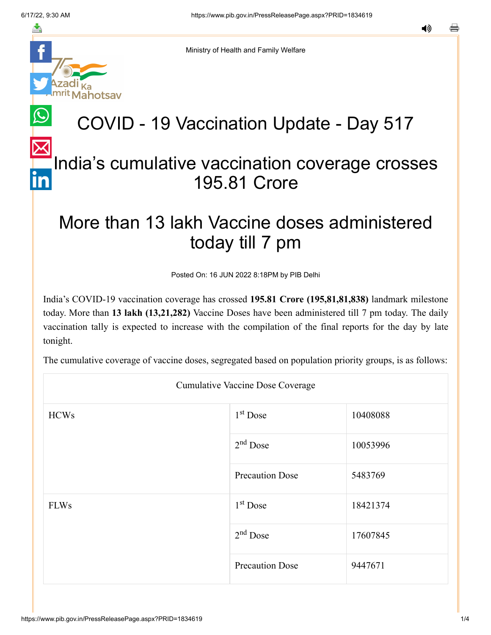

Ministry of Health and Family Welfare

## COVID - 19 Vaccination Update - Day 517

## [In](https://www.linkedin.com/shareArticle?mini=true&url=https://pib.gov.in/PressReleasePage.aspx?PRID=1834619&title=COVID%20-%2019%20Vaccination%20Update%20-%20Day%20517&summary=My%20favorite%20developer%20program&source=LinkedIn)dia's cumulative vaccination coverage crosses 195.81 Crore

## More than 13 lakh Vaccine doses administered today till 7 pm

Posted On: 16 JUN 2022 8:18PM by PIB Delhi

India's COVID-19 vaccination coverage has crossed **195.81 Crore (195,81,81,838)** landmark milestone today. More than **13 lakh (13,21,282)** Vaccine Doses have been administered till 7 pm today. The daily vaccination tally is expected to increase with the compilation of the final reports for the day by late tonight.

The cumulative coverage of vaccine doses, segregated based on population priority groups, is as follows:

| <b>Cumulative Vaccine Dose Coverage</b> |                        |          |  |
|-----------------------------------------|------------------------|----------|--|
| <b>HCWs</b>                             | $1st$ Dose             | 10408088 |  |
|                                         | $2nd$ Dose             | 10053996 |  |
|                                         | <b>Precaution Dose</b> | 5483769  |  |
| <b>FLWs</b>                             | $1st$ Dose             | 18421374 |  |
|                                         | $2nd$ Dose             | 17607845 |  |
|                                         | <b>Precaution Dose</b> | 9447671  |  |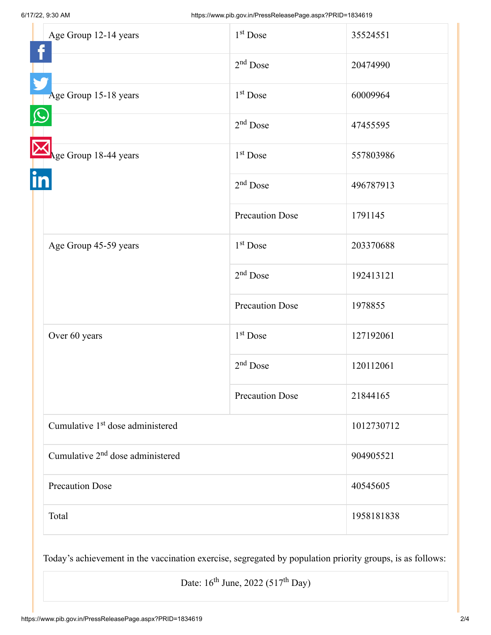| Age Group 12-14 years                        | 1 <sup>st</sup> Dose   | 35524551   |
|----------------------------------------------|------------------------|------------|
|                                              | $2nd$ Dose             | 20474990   |
| Age Group 15-18 years                        | 1 <sup>st</sup> Dose   | 60009964   |
|                                              | $2nd$ Dose             | 47455595   |
| Age Group 18-44 years                        | $1st$ Dose             | 557803986  |
|                                              | $2nd$ Dose             | 496787913  |
|                                              | <b>Precaution Dose</b> | 1791145    |
| Age Group 45-59 years                        | 1 <sup>st</sup> Dose   | 203370688  |
|                                              | $2nd$ Dose             | 192413121  |
|                                              | <b>Precaution Dose</b> | 1978855    |
| Over 60 years                                | 1 <sup>st</sup> Dose   | 127192061  |
|                                              | 2 <sup>nd</sup> Dose   | 120112061  |
|                                              | <b>Precaution Dose</b> | 21844165   |
| Cumulative 1 <sup>st</sup> dose administered |                        | 1012730712 |
| Cumulative 2 <sup>nd</sup> dose administered |                        | 904905521  |
| <b>Precaution Dose</b>                       |                        | 40545605   |
| Total                                        |                        | 1958181838 |

Today's achievement in the vaccination exercise, segregated by population priority groups, is as follows:

Date:  $16^{\text{th}}$  June, 2022 (517<sup>th</sup> Day)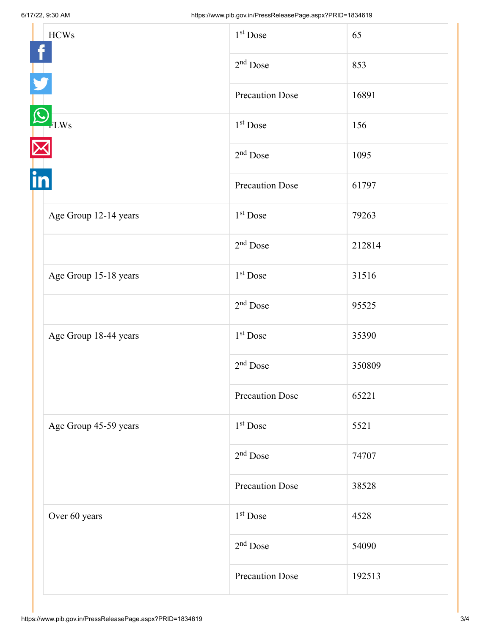| <b>HCWs</b>           | 1 <sup>st</sup> Dose   | 65     |
|-----------------------|------------------------|--------|
|                       | $2nd$ Dose             | 853    |
|                       | <b>Precaution Dose</b> | 16891  |
| FLWs                  | 1 <sup>st</sup> Dose   | 156    |
|                       | $2nd$ Dose             | 1095   |
|                       | <b>Precaution Dose</b> | 61797  |
| Age Group 12-14 years | $1st$ Dose             | 79263  |
|                       | $2nd$ Dose             | 212814 |
| Age Group 15-18 years | 1 <sup>st</sup> Dose   | 31516  |
|                       | $2nd$ Dose             | 95525  |
| Age Group 18-44 years | 1 <sup>st</sup> Dose   | 35390  |
|                       | $2nd$ Dose             | 350809 |
|                       | <b>Precaution Dose</b> | 65221  |
| Age Group 45-59 years | 1 <sup>st</sup> Dose   | 5521   |
|                       | $2nd$ Dose             | 74707  |
|                       | <b>Precaution Dose</b> | 38528  |
| Over 60 years         | 1 <sup>st</sup> Dose   | 4528   |
|                       | $2nd$ Dose             | 54090  |
|                       | <b>Precaution Dose</b> | 192513 |